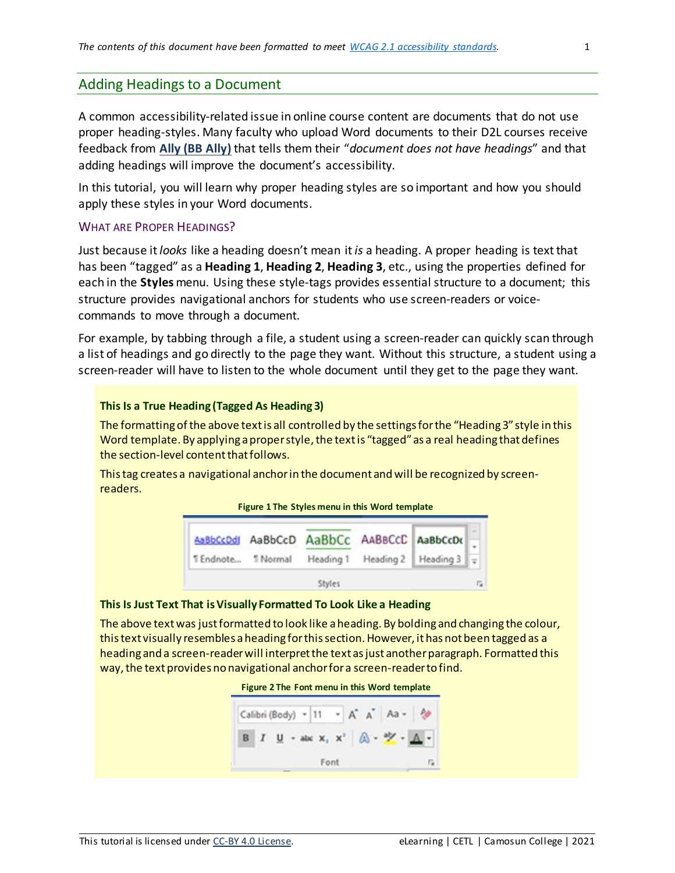## Adding Headings to a Document

A common accessibility-related issue in online course content are documents that do not use proper heading-styles. Many faculty who upload Word documents to their D2L courses receive feedback from **Ally (BB Ally)** that tells them their "*document does not have headings*" and that adding headings will improve the document's accessibility.

In this tutorial, you will learn why proper heading styles are so important and how you should apply these styles in your Word documents.

## WHAT ARE PROPER HEADINGS?

Just because it *looks* like a heading doesn't mean it *is* a heading. A proper heading is text that has been "tagged" as a **Heading 1**, **Heading 2**, **Heading 3**, etc., using the properties defined for each in the **Styles** menu. Using these style-tags provides essential structure to a document; this structure provides navigational anchors for students who use screen-readers or voicecommands to move through a document.

For example, by tabbing through a file, a student using a screen-reader can quickly scan through a list of headings and go directly to the page they want. Without this structure, a student using a screen-reader will have to listen to the whole document until they get to the page they want.

## **This Is a True Heading (Tagged As Heading 3)**

The formatting of the above text is all controlled by the settings for the "Heading 3" style in this Word template. By applying a proper style, the text is "tagged" as a real heading that defines the section-level content that follows.

This tag creates a navigational anchor in the document and will be recognized by screenreaders.

**Figure 1 The Styles menu in this Word template**



## **This Is Just Text That is Visually Formatted To Look Like a Heading**

The above text was just formatted to look like a heading. By bolding and changing the colour, this text visually resembles a heading for this section. However, it has not been tagged as a heading and a screen-reader will interpret the text as just another paragraph. Formatted this way, the text provides no navigational anchor for a screen-reader to find.